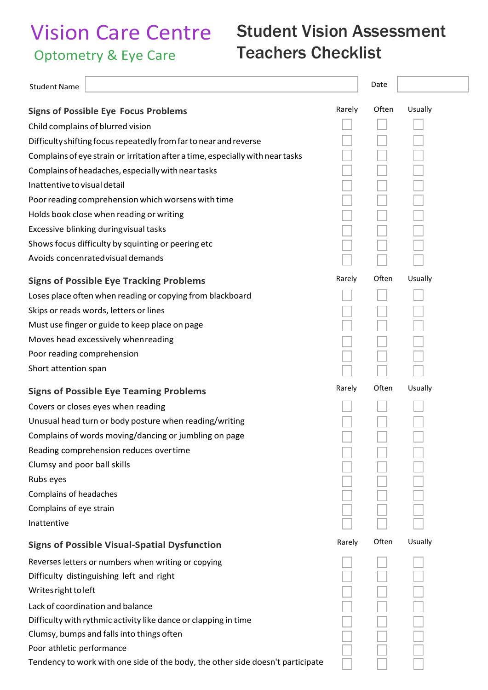## Vision Care Centre Optometry & Eye Care

## Student Vision Assessment Teachers Checklist

| <b>Student Name</b>                                                            |        | Date  |         |
|--------------------------------------------------------------------------------|--------|-------|---------|
| <b>Signs of Possible Eye Focus Problems</b>                                    | Rarely | Often | Usually |
| Child complains of blurred vision                                              |        |       |         |
| Difficulty shifting focus repeatedly from far to near and reverse              |        |       |         |
| Complains of eye strain or irritation after a time, especially with near tasks |        |       |         |
| Complains of headaches, especially with near tasks                             |        |       |         |
| Inattentive to visual detail                                                   |        |       |         |
| Poor reading comprehension which worsens with time                             |        |       |         |
| Holds book close when reading or writing                                       |        |       |         |
| Excessive blinking duringvisual tasks                                          |        |       |         |
| Shows focus difficulty by squinting or peering etc                             |        |       |         |
| Avoids concenrated visual demands                                              |        |       |         |
| <b>Signs of Possible Eye Tracking Problems</b>                                 | Rarely | Often | Usually |
| Loses place often when reading or copying from blackboard                      |        |       |         |
| Skips or reads words, letters or lines                                         |        |       |         |
| Must use finger or guide to keep place on page                                 |        |       |         |
| Moves head excessively whenreading                                             |        |       |         |
| Poor reading comprehension                                                     |        |       |         |
| Short attention span                                                           |        |       |         |
| <b>Signs of Possible Eye Teaming Problems</b>                                  | Rarely | Often | Usually |
| Covers or closes eyes when reading                                             |        |       |         |
| Unusual head turn or body posture when reading/writing                         |        |       |         |
| Complains of words moving/dancing or jumbling on page                          |        |       |         |
| Reading comprehension reduces overtime                                         |        |       |         |
| Clumsy and poor ball skills                                                    |        |       |         |
| Rubs eyes                                                                      |        |       |         |
| Complains of headaches                                                         |        |       |         |
| Complains of eye strain                                                        |        |       |         |
| Inattentive                                                                    |        |       |         |
| <b>Signs of Possible Visual-Spatial Dysfunction</b>                            | Rarely | Often | Usually |
| Reverses letters or numbers when writing or copying                            |        |       |         |
| Difficulty distinguishing left and right                                       |        |       |         |
| Writes right to left                                                           |        |       |         |
| Lack of coordination and balance                                               |        |       |         |
| Difficulty with rythmic activity like dance or clapping in time                |        |       |         |
| Clumsy, bumps and falls into things often                                      |        |       |         |
| Poor athletic performance                                                      |        |       |         |
| Tendency to work with one side of the body, the other side doesn't participate |        |       |         |